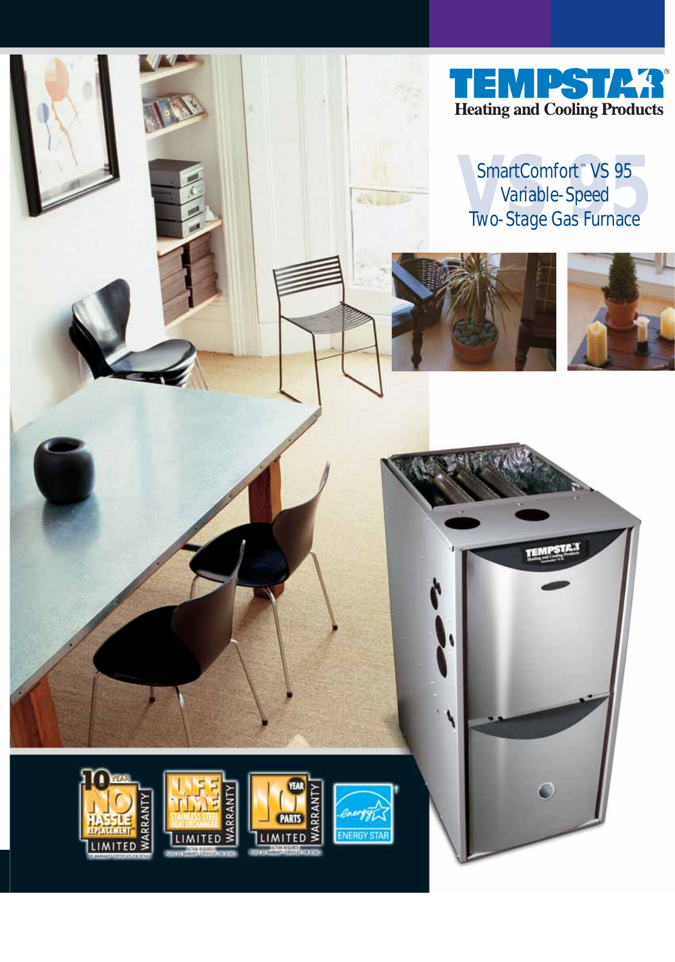

# SmartComfort<sup>™</sup> VS 95<br>Variable-Speed<br>Two-Stage Gas Furnace Variable-Speed Two-Stage Gas Furnace



AR AD











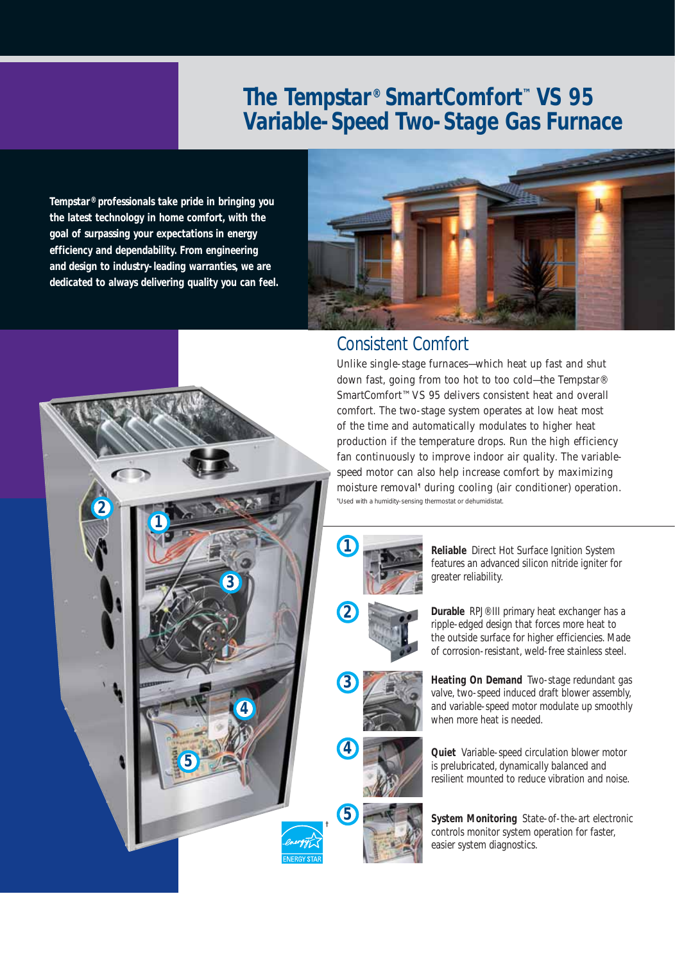## **The Tempstar® SmartComfort™ VS 95 Variable-Speed Two-Stage Gas Furnace**

**Tempstar® professionals take pride in bringing you the latest technology in home comfort, with the goal of surpassing your expectations in energy efficiency and dependability. From engineering and design to industry-leading warranties, we are dedicated to always delivering quality you can feel.**

**1**

**2**

**3**

**4**

**5**



### Consistent Comfort

Unlike single-stage furnaces—which heat up fast and shut down fast, going from too hot to too cold—the Tempstar® SmartComfort™ VS 95 delivers consistent heat and overall comfort. The two-stage system operates at low heat most of the time and automatically modulates to higher heat production if the temperature drops. Run the high efficiency fan continuously to improve indoor air quality. The variablespeed motor can also help increase comfort by maximizing moisture removal<sup>1</sup> during cooling (air conditioner) operation. *¶ Used with a humidity-sensing thermostat or dehumidistat.*



**2**

**3**

**4**

**5**

**Reliable** Direct Hot Surface Ignition System features an advanced silicon nitride igniter for greater reliability.

**Durable** RPJ® III primary heat exchanger has a ripple-edged design that forces more heat to the outside surface for higher efficiencies. Made of corrosion-resistant, weld-free stainless steel.

**Heating On Demand** Two-stage redundant gas valve, two-speed induced draft blower assembly, and variable-speed motor modulate up smoothly when more heat is needed.

**Quiet** Variable-speed circulation blower motor is prelubricated, dynamically balanced and resilient mounted to reduce vibration and noise.

**System Monitoring** State-of-the-art electronic controls monitor system operation for faster, easier system diagnostics.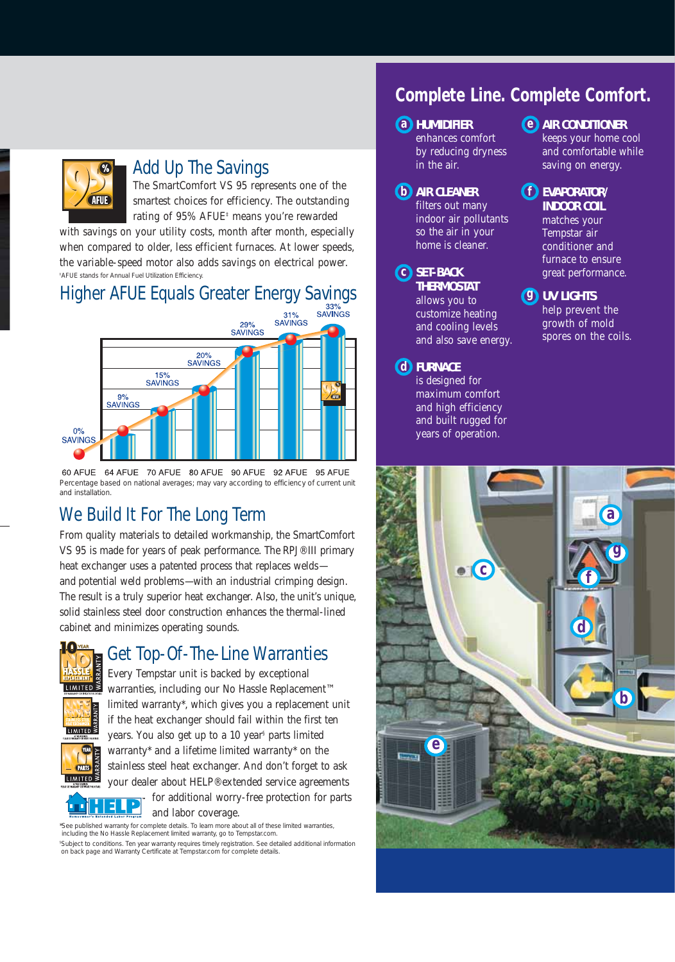

#### Add Up The Savings

The SmartComfort VS 95 represents one of the smartest choices for efficiency. The outstanding rating of 95% AFUE‡ means you're rewarded

with savings on your utility costs, month after month, especially when compared to older, less efficient furnaces. At lower speeds, the variable-speed motor also adds savings on electrical power. *‡ AFUE stands for Annual Fuel Utilization Efficiency.*

# Higher AFUE Equals Greater Energy Savings<br>sayings



64 AFUE 70 AFUE 80 AFUE 90 AFUE 92 AFUE 95 AFUE 60 AFUE *Percentage based on national averages; may vary according to efficiency of current unit and installation.*

## We Build It For The Long Term

From quality materials to detailed workmanship, the SmartComfort VS 95 is made for years of peak performance. The RPJ® III primary heat exchanger uses a patented process that replaces welds and potential weld problems—with an industrial crimping design. The result is a truly superior heat exchanger. Also, the unit's unique, solid stainless steel door construction enhances the thermal-lined cabinet and minimizes operating sounds.



PARTS LIMITED<sup>≤</sup>

E

## Get Top-Of-The-Line Warranties

Every Tempstar unit is backed by exceptional warranties, including our No Hassle Replacement™ limited warranty\*, which gives you a replacement unit if the heat exchanger should fail within the first ten years. You also get up to a 10 year§ parts limited warranty\* and a lifetime limited warranty\* on the stainless steel heat exchanger. And don't forget to ask your dealer about HELP® extended service agreements for additional worry-free protection for parts

and labor coverage.

*\*See published warranty for complete details. To learn more about all of these limited warranties, including the No Hassle Replacement limited warranty, go to Tempstar.com.*

*§ Subject to conditions. Ten year warranty requires timely registration. See detailed additional information on back page and Warranty Certificate at Tempstar.com for complete details.*

## **Complete Line. Complete Comfort.**

#### **a HUMIDIFIER**

enhances comfort by reducing dryness in the air.

#### **b AIR CLEANER**  filters out many indoor air pollutants so the air in your

home is cleaner.

**c SET-BACK THERMOSTAT**  allows you to customize heating and cooling levels and also save energy.

#### **d FURNACE**

is designed for maximum comfort and high efficiency and built rugged for years of operation.

- **AIR CONDITIONER e** keeps your home cool and comfortable while saving on energy.
- **EVAPORATOR/ f INDOOR COIL** matches your Tempstar air conditioner and furnace to ensure great performance.
- **UV LIGHTS g** help prevent the growth of mold spores on the coils.